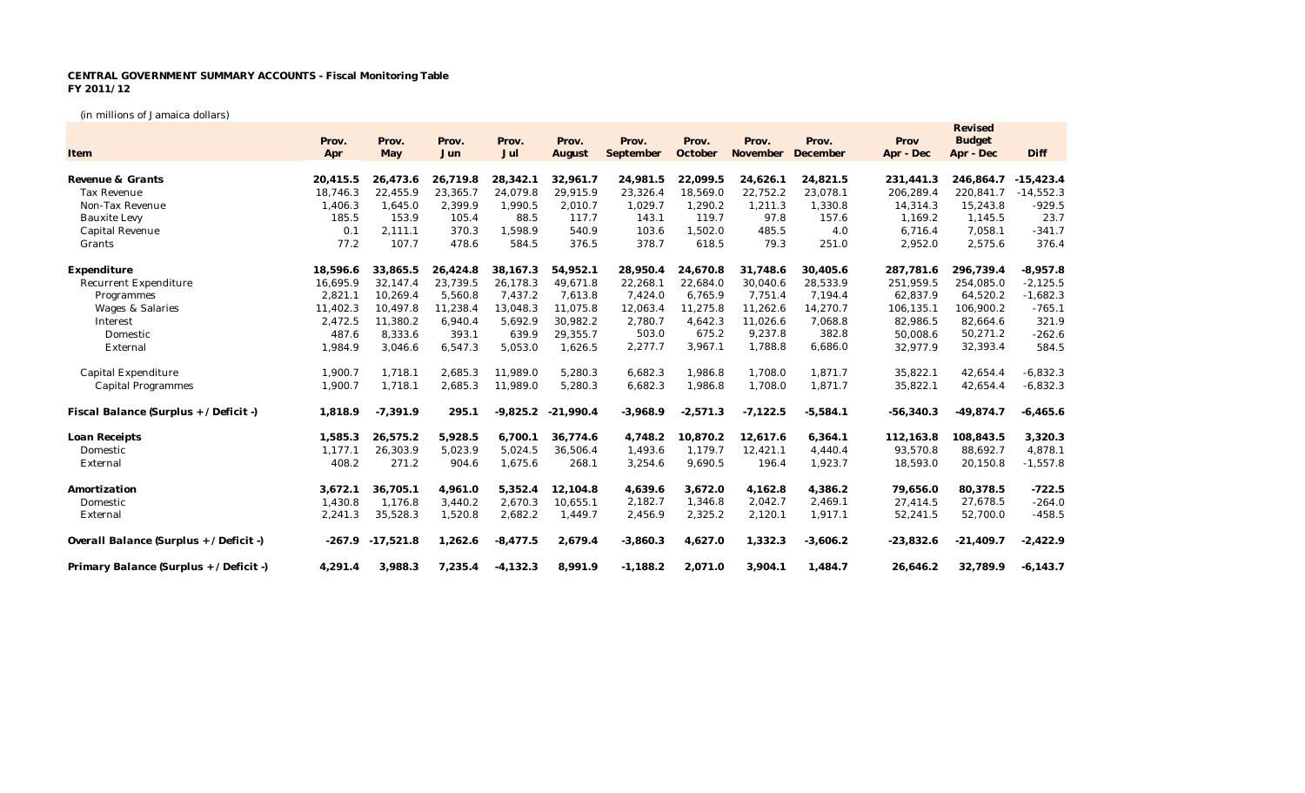## **CENTRAL GOVERNMENT SUMMARY ACCOUNTS - Fiscal Monitoring Table FY 2011/12**

(in millions of Jamaica dollars)

| Item                                    | Prov.<br>Apr | Prov.<br>May | Prov.<br>Jun | Prov.<br>Jul | Prov.<br>August | Prov.<br>September | Prov.<br>October | Prov.<br>November | Prov.<br>December | Prov<br>Apr - Dec | Revised<br><b>Budget</b><br>Apr - Dec | Diff        |
|-----------------------------------------|--------------|--------------|--------------|--------------|-----------------|--------------------|------------------|-------------------|-------------------|-------------------|---------------------------------------|-------------|
|                                         |              |              |              |              |                 |                    |                  | 24.626.1          |                   |                   |                                       |             |
| Revenue & Grants                        | 20.415.5     | 26,473.6     | 26,719.8     | 28,342.1     | 32,961.7        | 24,981.5           | 22,099.5         |                   | 24,821.5          | 231,441.3         | 246,864.7                             | $-15.423.4$ |
| Tax Revenue                             | 18,746.3     | 22,455.9     | 23,365.7     | 24,079.8     | 29,915.9        | 23,326.4           | 18,569.0         | 22,752.2          | 23,078.1          | 206,289.4         | 220,841.7                             | $-14,552.3$ |
| Non-Tax Revenue                         | 1,406.3      | 1,645.0      | 2,399.9      | 1,990.5      | 2,010.7         | 1,029.7            | 1,290.2          | 1,211.3           | 1,330.8           | 14,314.3          | 15,243.8                              | $-929.5$    |
| <b>Bauxite Levy</b>                     | 185.5        | 153.9        | 105.4        | 88.5         | 117.7           | 143.1              | 119.7            | 97.8              | 157.6             | 1,169.2           | 1,145.5                               | 23.7        |
| Capital Revenue                         | 0.1          | 2,111.1      | 370.3        | 1,598.9      | 540.9           | 103.6              | 1,502.0          | 485.5             | 4.0               | 6,716.4           | 7,058.1                               | $-341.7$    |
| Grants                                  | 77.2         | 107.7        | 478.6        | 584.5        | 376.5           | 378.7              | 618.5            | 79.3              | 251.0             | 2,952.0           | 2,575.6                               | 376.4       |
| Expenditure                             | 18,596.6     | 33,865.5     | 26,424.8     | 38,167.3     | 54,952.1        | 28,950.4           | 24.670.8         | 31.748.6          | 30,405.6          | 287,781.6         | 296,739.4                             | $-8,957.8$  |
| <b>Recurrent Expenditure</b>            | 16,695.9     | 32,147.4     | 23,739.5     | 26,178.3     | 49,671.8        | 22,268.1           | 22,684.0         | 30,040.6          | 28,533.9          | 251,959.5         | 254,085.0                             | $-2,125.5$  |
| Programmes                              | 2,821.1      | 10,269.4     | 5,560.8      | 7,437.2      | 7,613.8         | 7,424.0            | 6,765.9          | 7,751.4           | 7,194.4           | 62,837.9          | 64,520.2                              | $-1,682.3$  |
| <b>Wages &amp; Salaries</b>             | 11,402.3     | 10,497.8     | 11,238.4     | 13,048.3     | 11,075.8        | 12,063.4           | 11,275.8         | 11,262.6          | 14,270.7          | 106,135.1         | 106,900.2                             | $-765.1$    |
| Interest                                | 2,472.5      | 11,380.2     | 6,940.4      | 5,692.9      | 30,982.2        | 2,780.7            | 4,642.3          | 11,026.6          | 7,068.8           | 82,986.5          | 82,664.6                              | 321.9       |
| Domestic                                | 487.6        | 8,333.6      | 393.1        | 639.9        | 29,355.7        | 503.0              | 675.2            | 9,237.8           | 382.8             | 50,008.6          | 50,271.2                              | $-262.6$    |
| External                                | 1,984.9      | 3,046.6      | 6,547.3      | 5,053.0      | 1,626.5         | 2,277.7            | 3,967.1          | 1,788.8           | 6,686.0           | 32,977.9          | 32,393.4                              | 584.5       |
| Capital Expenditure                     | 1,900.7      | 1,718.1      | 2,685.3      | 11.989.0     | 5,280.3         | 6,682.3            | 1.986.8          | 1.708.0           | 1,871.7           | 35,822.1          | 42.654.4                              | $-6,832.3$  |
| <b>Capital Programmes</b>               | 1,900.7      | 1,718.1      | 2,685.3      | 11,989.0     | 5,280.3         | 6,682.3            | 1,986.8          | 1,708.0           | 1,871.7           | 35,822.1          | 42,654.4                              | $-6,832.3$  |
| Fiscal Balance (Surplus + / Deficit -)  | 1,818.9      | $-7,391.9$   | 295.1        | $-9,825.2$   | $-21,990.4$     | $-3,968.9$         | $-2,571.3$       | $-7,122.5$        | $-5,584.1$        | $-56,340.3$       | $-49,874.7$                           | $-6,465.6$  |
| Loan Receipts                           | 1,585.3      | 26,575.2     | 5,928.5      | 6,700.1      | 36,774.6        | 4,748.2            | 10,870.2         | 12,617.6          | 6,364.1           | 112,163.8         | 108,843.5                             | 3,320.3     |
| Domestic                                | 1,177.1      | 26,303.9     | 5,023.9      | 5,024.5      | 36,506.4        | 1,493.6            | 1.179.7          | 12,421.1          | 4,440.4           | 93,570.8          | 88,692.7                              | 4,878.1     |
| External                                | 408.2        | 271.2        | 904.6        | 1,675.6      | 268.1           | 3,254.6            | 9,690.5          | 196.4             | 1,923.7           | 18,593.0          | 20,150.8                              | $-1,557.8$  |
| Amortization                            | 3,672.1      | 36,705.1     | 4,961.0      | 5,352.4      | 12,104.8        | 4,639.6            | 3,672.0          | 4.162.8           | 4,386.2           | 79,656.0          | 80,378.5                              | $-722.5$    |
| Domestic                                | 1,430.8      | 1,176.8      | 3,440.2      | 2,670.3      | 10,655.1        | 2,182.7            | 1,346.8          | 2,042.7           | 2,469.1           | 27,414.5          | 27,678.5                              | $-264.0$    |
| External                                | 2,241.3      | 35,528.3     | 1,520.8      | 2,682.2      | 1,449.7         | 2,456.9            | 2,325.2          | 2,120.1           | 1,917.1           | 52,241.5          | 52,700.0                              | $-458.5$    |
| Overall Balance (Surplus + / Deficit -) | $-267.9$     | $-17,521.8$  | 1,262.6      | $-8,477.5$   | 2,679.4         | $-3,860.3$         | 4,627.0          | 1,332.3           | $-3,606.2$        | $-23,832.6$       | $-21,409.7$                           | $-2,422.9$  |
| Primary Balance (Surplus + / Deficit -) | 4,291.4      | 3,988.3      | 7,235.4      | $-4,132.3$   | 8,991.9         | $-1,188.2$         | 2,071.0          | 3,904.1           | 1,484.7           | 26,646.2          | 32,789.9                              | $-6, 143.7$ |